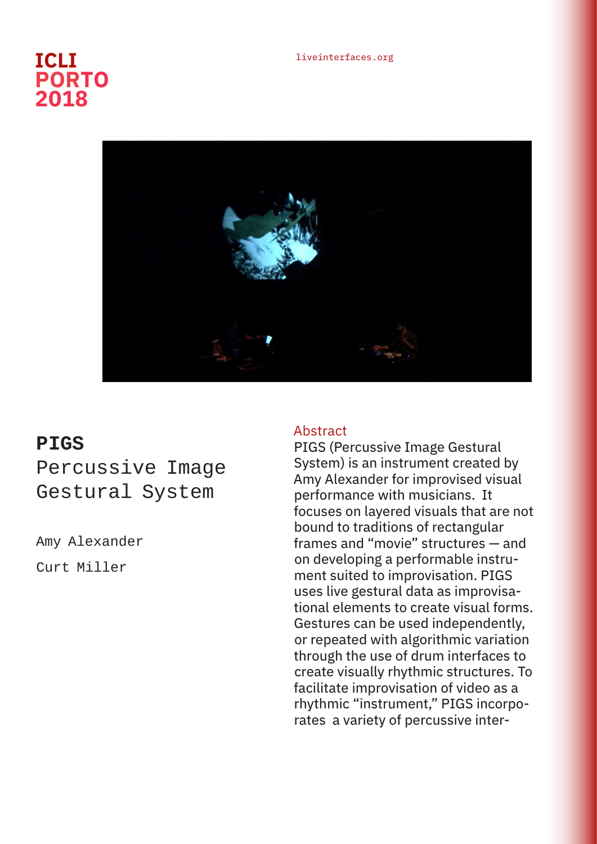## liveinterfaces.org **ICLI PORTO 2018**



## **PIGS** Percussive Image Gestural System

Amy Alexander Curt Miller

## Abstract

PIGS (Percussive Image Gestural System) is an instrument created by Amy Alexander for improvised visual performance with musicians. It focuses on layered visuals that are not bound to traditions of rectangular frames and "movie" structures — and on developing a performable instrument suited to improvisation. PIGS uses live gestural data as improvisational elements to create visual forms. Gestures can be used independently, or repeated with algorithmic variation through the use of drum interfaces to create visually rhythmic structures. To facilitate improvisation of video as a rhythmic "instrument," PIGS incorporates a variety of percussive inter-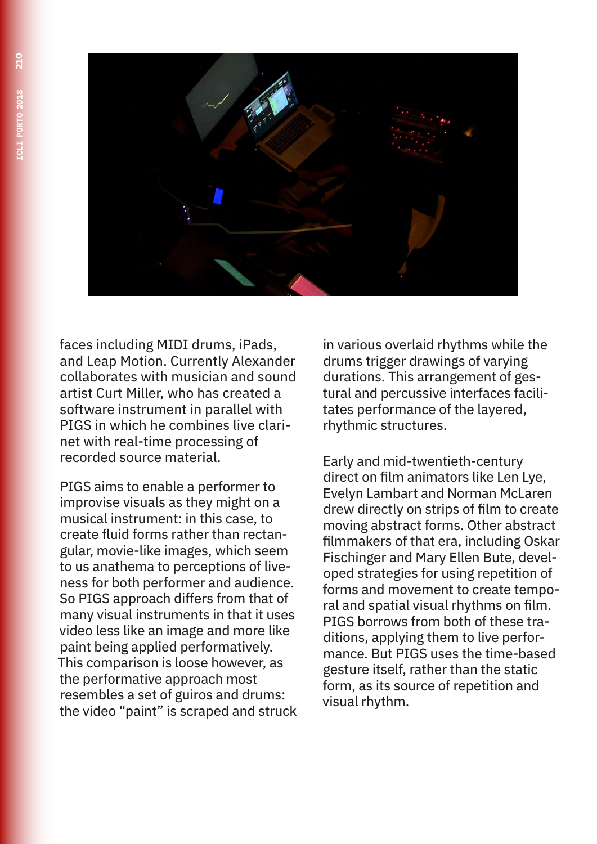

faces including MIDI drums, iPads, and Leap Motion. Currently Alexander collaborates with musician and sound artist Curt Miller, who has created a software instrument in parallel with PIGS in which he combines live clarinet with real-time processing of recorded source material.

PIGS aims to enable a performer to improvise visuals as they might on a musical instrument: in this case, to create fluid forms rather than rectangular, movie-like images, which seem to us anathema to perceptions of liveness for both performer and audience. So PIGS approach differs from that of many visual instruments in that it uses video less like an image and more like paint being applied performatively. This comparison is loose however, as the performative approach most resembles a set of guiros and drums: the video "paint" is scraped and struck in various overlaid rhythms while the drums trigger drawings of varying durations. This arrangement of gestural and percussive interfaces facilitates performance of the layered, rhythmic structures.

Early and mid-twentieth-century direct on film animators like Len Lye, Evelyn Lambart and Norman McLaren drew directly on strips of film to create moving abstract forms. Other abstract filmmakers of that era, including Oskar Fischinger and Mary Ellen Bute, developed strategies for using repetition of forms and movement to create temporal and spatial visual rhythms on film. PIGS borrows from both of these traditions, applying them to live performance. But PIGS uses the time-based gesture itself, rather than the static form, as its source of repetition and visual rhythm.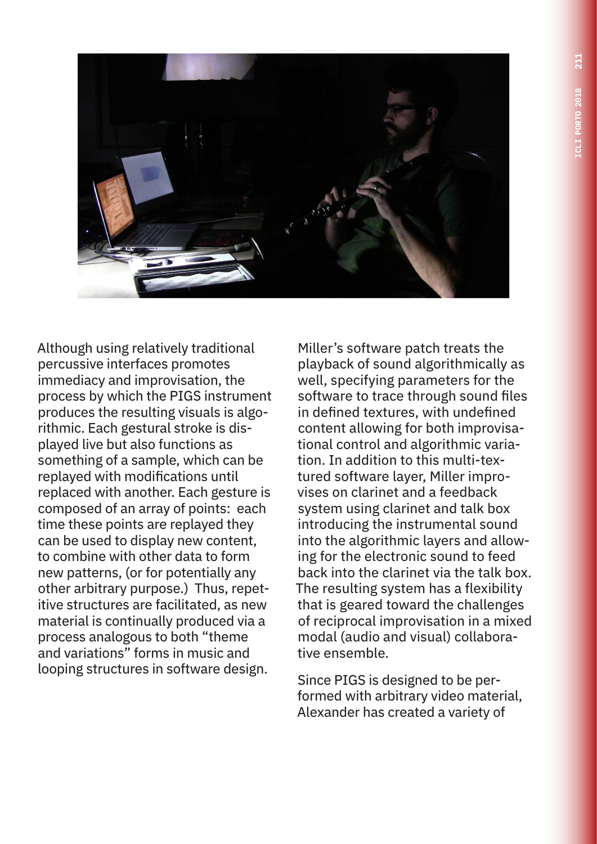

Although using relatively traditional percussive interfaces promotes immediacy and improvisation, the process by which the PIGS instrument produces the resulting visuals is algorithmic. Each gestural stroke is displayed live but also functions as something of a sample, which can be replayed with modifications until replaced with another. Each gesture is composed of an array of points: each time these points are replayed they can be used to display new content, to combine with other data to form new patterns, (or for potentially any other arbitrary purpose.) Thus, repetitive structures are facilitated, as new material is continually produced via a process analogous to both "theme and variations" forms in music and looping structures in software design.

Miller's software patch treats the playback of sound algorithmically as well, specifying parameters for the software to trace through sound files in defined textures, with undefined content allowing for both improvisational control and algorithmic variation. In addition to this multi-textured software layer, Miller improvises on clarinet and a feedback system using clarinet and talk box introducing the instrumental sound into the algorithmic layers and allowing for the electronic sound to feed back into the clarinet via the talk box. The resulting system has a flexibility that is geared toward the challenges of reciprocal improvisation in a mixed modal (audio and visual) collaborative ensemble.

Since PIGS is designed to be performed with arbitrary video material, Alexander has created a variety of